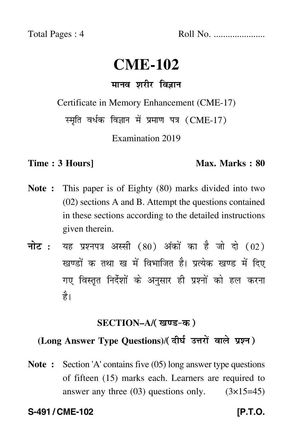Total Pages : 4 Roll No. ......................

# **CME-102**

# मानव शरीर विज्ञान

Certificate in Memory Enhancement (CME-17)

स्मृति वर्धक विज्ञान में प्रमाण पत्र (CME-17)

Examination 2019

#### **Time : 3 Hours]** Max. Marks : 80

- **Note :** This paper is of Eighty (80) marks divided into two (02) sections A and B. Attempt the questions contained in these sections according to the detailed instructions given therein.
- नोट : यह प्रश्नपत्र अस्सी (80) अंकों का है जो दो (02) खण्डों क तथा ख में विभाजित है। प्रत्येक खण्ड में दिए गए विस्तृत निर्देशों के अनुसार ही प्रश्नों को हल करन<mark>ा</mark> है।

### <u>SECTION–A/( खण्ड-क</u> )

### (Long Answer Type Questions)/(दीर्घ उत्तरों वाले प्रश्न)

**Note :** Section 'A' contains five (05) long answer type questions of fifteen (15) marks each. Learners are required to answer any three  $(03)$  questions only.  $(3\times15=45)$ 

#### **S-491 / CME-102** *CME-102* **IP.T.O.**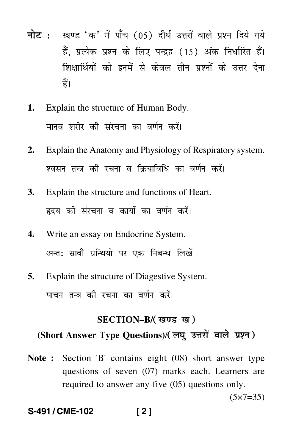- नोट : खण्ड 'क' में पाँच (05) दीर्घ उत्तरों वाले प्रश्न दिये गये हैं, प्रत्येक प्रश्न के लिए पन्द्रह (15) अंक निर्धारित हैं। शिक्षार्थियों को इनमें से केवल तीन प्रश्नों के उत्तर देना हैं।
- Explain the structure of Human Body.  $1.$ मानव शरीर की संरचना का वर्णन करें।
- Explain the Anatomy and Physiology of Respiratory system.  $2.$ श्वसन तन्त्र की रचना व क्रियाविधि का वर्णन करें।
- Explain the structure and functions of Heart. 3. हृदय की संरचना व कार्यो का वर्णन करें।
- Write an essay on Endocrine System.  $\mathbf{4}$ अन्त: स्रावी ग्रन्थियो पर एक निबन्ध लिखें।
- Explain the structure of Diagestive System. 5. पाचन तन्त्र की रचना का वर्णन करें।

## SECTION-B/(खण्ड-ख) (Short Answer Type Questions)/(लघ उत्तरों वाले प्रश्न)

Note: Section 'B' contains eight (08) short answer type questions of seven (07) marks each. Learners are required to answer any five (05) questions only.

 $(5x7=35)$ 

#### S-491/CME-102  $121$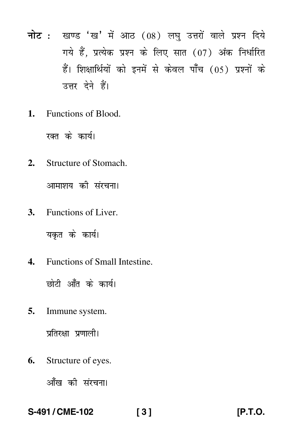- नोट : खण्ड 'ख' में आठ (08) लघु उत्तरों वाले प्रश्न दिये गये हैं, प्रत्येक प्रश्न के लिए सात (07) अंक निर्धारित हैं। शिक्षार्थियों को इनमें से केवल पाँच (05) प्रश्नों के उत्तर देने हैं।
- $\mathbf{1}$ . Functions of Blood.

रक्त के कार्य।

 $2.$ Structure of Stomach.

आमाशय की संरचना।

3. Functions of Liver.

यकत के कार्य।

 $\mathbf{A}$ . Functions of Small Intestine.

छोटी आँत के कार्य।

Immune system. 5.

प्रतिरक्षा प्रणाली।

Structure of eyes. 6.

आँख की संरचना।

#### S-491/CME-102  $131$

[P.T.O.